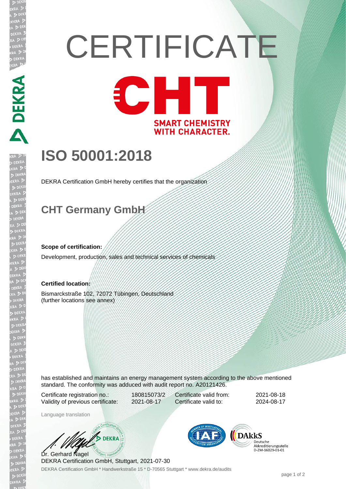# **CERTIFICATE** CHT

**SMART CHEMISTRY WITH CHARACTER.** 

## **ISO 50001:2018**

DEKRA Certification GmbH hereby certifies that the organization

### **CHT Germany GmbH**

#### **Scope of certification:**

**DEVELOPED** 

Development, production, sales and technical services of chemicals

#### **Certified location:**

Bismarckstraße 102, 72072 Tübingen, Deutschland (further locations see annex)

has established and maintains an energy management system according to the above mentioned standard. The conformity was adduced with audit report no. A20121426.

Certificate registration no.: 180815073/2 Validity of previous certificate: 2021-08-17

Certificate valid from: 2021-08-18 Certificate valid to: 2024-08-17

Language translation

**B** DEKRA Dr. Gerhard Nagel

DEKRA Certification GmbH \* Handwerkstraße 15 \* D-70565 Stuttgart \* www.dekra.de/audits DEKRA Certification GmbH, Stuttgart, 2021-07-30



Deutsche Akkreditierungsstelle<br>D-ZM-16029-01-01